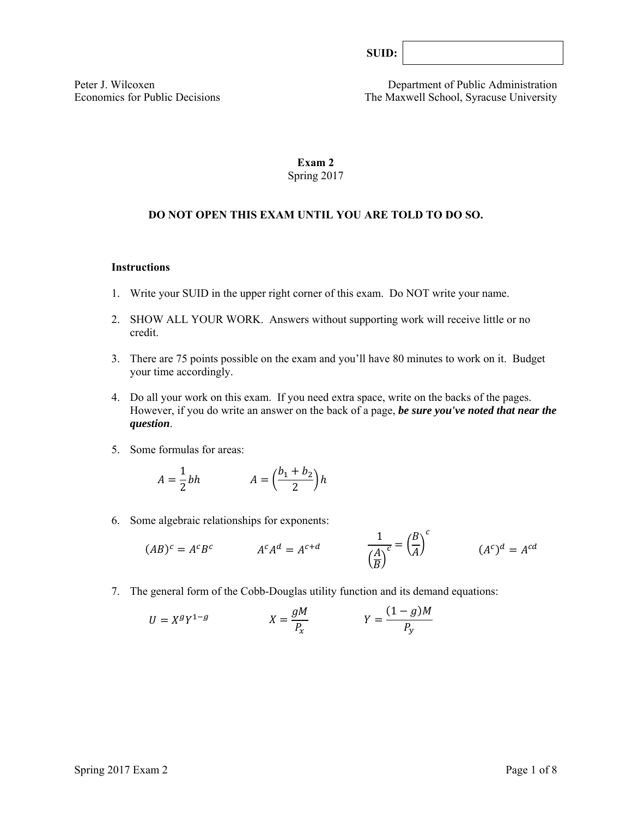| SUID: |  |
|-------|--|
|       |  |

Peter J. Wilcoxen Department of Public Administration Economics for Public Decisions The Maxwell School, Syracuse University

# **Exam 2**  Spring 2017

# **DO NOT OPEN THIS EXAM UNTIL YOU ARE TOLD TO DO SO.**

#### **Instructions**

- 1. Write your SUID in the upper right corner of this exam. Do NOT write your name.
- 2. SHOW ALL YOUR WORK. Answers without supporting work will receive little or no credit.
- 3. There are 75 points possible on the exam and you'll have 80 minutes to work on it. Budget your time accordingly.
- 4. Do all your work on this exam. If you need extra space, write on the backs of the pages. However, if you do write an answer on the back of a page, *be sure you've noted that near the question*.
- 5. Some formulas for areas:

$$
A = \frac{1}{2}bh \qquad A = \left(\frac{b_1 + b_2}{2}\right)h
$$

6. Some algebraic relationships for exponents:

$$
(AB)^c = A^c B^c \qquad \qquad A^c A^d = A^{c+d} \qquad \qquad \frac{1}{\left(\frac{A}{B}\right)^c} = \left(\frac{B}{A}\right)^c \qquad \qquad (A^c)^d = A^{cd}
$$

7. The general form of the Cobb-Douglas utility function and its demand equations:

$$
U = X^g Y^{1-g} \qquad \qquad X = \frac{gM}{P_x} \qquad \qquad Y = \frac{(1-g)M}{P_y}
$$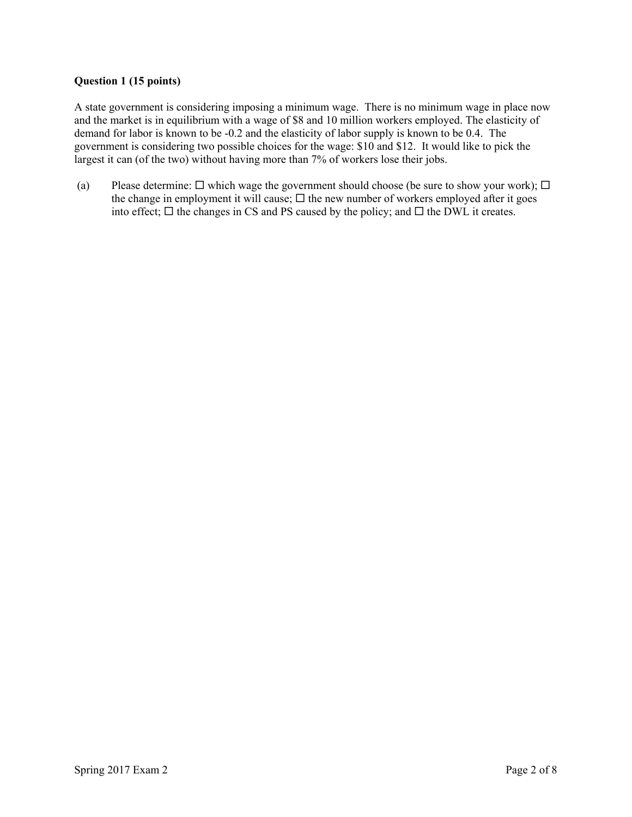## **Question 1 (15 points)**

A state government is considering imposing a minimum wage. There is no minimum wage in place now and the market is in equilibrium with a wage of \$8 and 10 million workers employed. The elasticity of demand for labor is known to be -0.2 and the elasticity of labor supply is known to be 0.4. The government is considering two possible choices for the wage: \$10 and \$12. It would like to pick the largest it can (of the two) without having more than 7% of workers lose their jobs.

(a) Please determine:  $\Box$  which wage the government should choose (be sure to show your work);  $\Box$ the change in employment it will cause;  $\Box$  the new number of workers employed after it goes into effect;  $\Box$  the changes in CS and PS caused by the policy; and  $\Box$  the DWL it creates.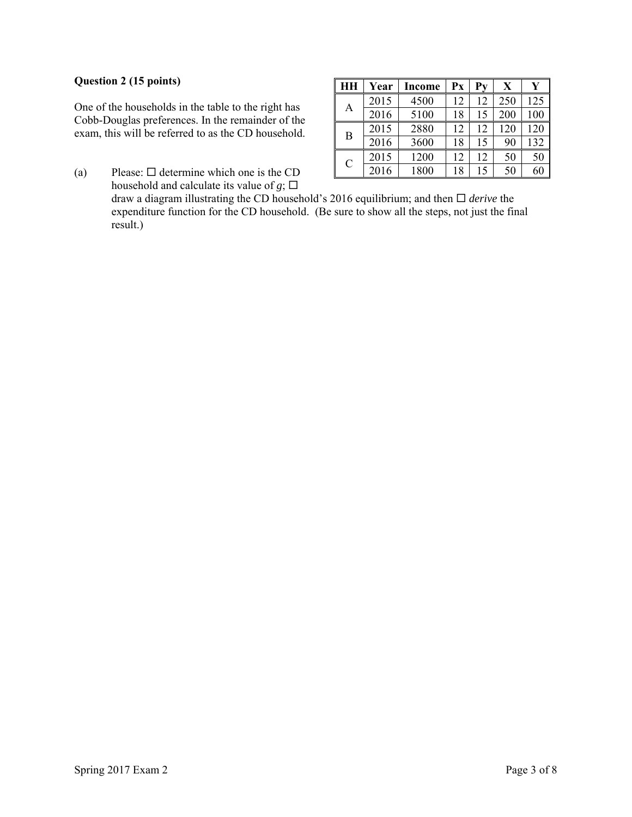## **Question 2 (15 points)**

One of the households in the table to the right has Cobb-Douglas preferences. In the remainder of the exam, this will be referred to as the CD household.

(a) Please:  $\Box$  determine which one is the CD household and calculate its value of  $g$ ;  $\Box$ 

| HН            | Year | Income | Px |    | X   |     |
|---------------|------|--------|----|----|-----|-----|
| Α             | 2015 | 4500   | 12 | 12 | 250 | 125 |
|               | 2016 | 5100   | 18 | 15 | 200 | 100 |
| B             | 2015 | 2880   | 12 | 12 | 120 | 120 |
|               | 2016 | 3600   | 18 | 15 | 90  | 132 |
| $\mathcal{C}$ | 2015 | 1200   | 12 | 12 | 50  | 50  |
|               | 2016 | 1800   | 18 | 15 | 50  | 60  |

draw a diagram illustrating the CD household's 2016 equilibrium; and then  $\Box$  *derive* the expenditure function for the CD household. (Be sure to show all the steps, not just the final result.)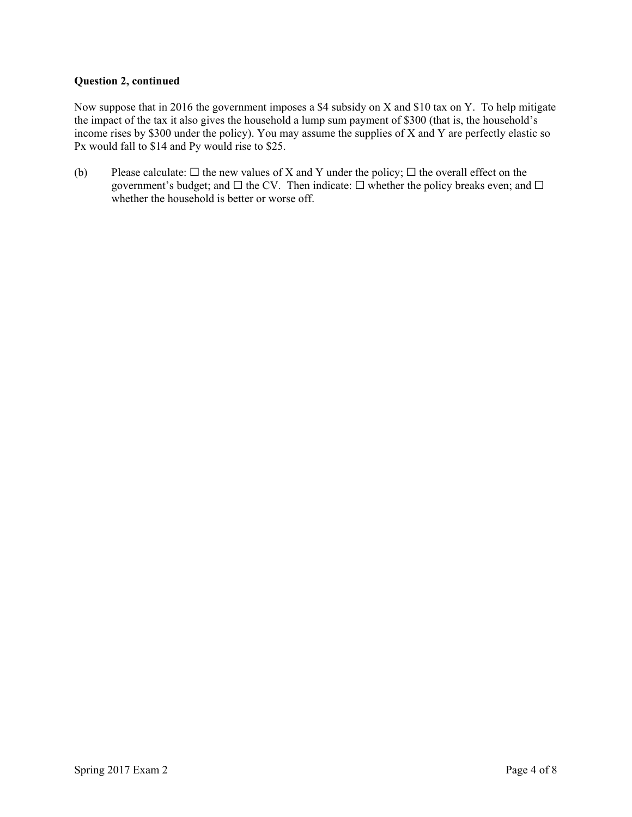## **Question 2, continued**

Now suppose that in 2016 the government imposes a \$4 subsidy on X and \$10 tax on Y. To help mitigate the impact of the tax it also gives the household a lump sum payment of \$300 (that is, the household's income rises by \$300 under the policy). You may assume the supplies of X and Y are perfectly elastic so Px would fall to \$14 and Py would rise to \$25.

(b) Please calculate:  $\Box$  the new values of X and Y under the policy;  $\Box$  the overall effect on the government's budget; and  $\Box$  the CV. Then indicate:  $\Box$  whether the policy breaks even; and  $\Box$ whether the household is better or worse off.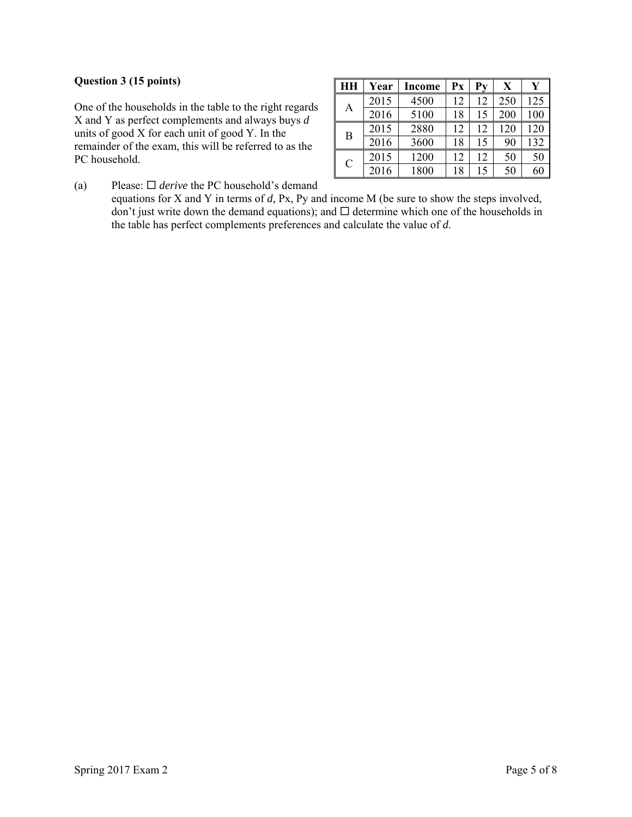## **Question 3 (15 points)**

One of the households in the table to the right regards X and Y as perfect complements and always buys *d* units of good X for each unit of good Y. In the remainder of the exam, this will be referred to as the PC household.

| HН            | Year | Income | Px | Pv | X   |     |
|---------------|------|--------|----|----|-----|-----|
| А             | 2015 | 4500   | 12 | 12 | 250 | 125 |
|               | 2016 | 5100   | 18 | 15 | 200 | 100 |
| B             | 2015 | 2880   | 12 | 12 | 120 | 120 |
|               | 2016 | 3600   | 18 | 15 | 90  | 132 |
| $\mathcal{C}$ | 2015 | 1200   | 12 | 12 | 50  | 50  |
|               | 2016 | 1800   | 18 | 15 | 50  | 60  |

(a) Please:  $\Box$  *derive* the PC household's demand

equations for X and Y in terms of *d,* Px, Py and income M (be sure to show the steps involved, don't just write down the demand equations); and  $\Box$  determine which one of the households in the table has perfect complements preferences and calculate the value of *d*.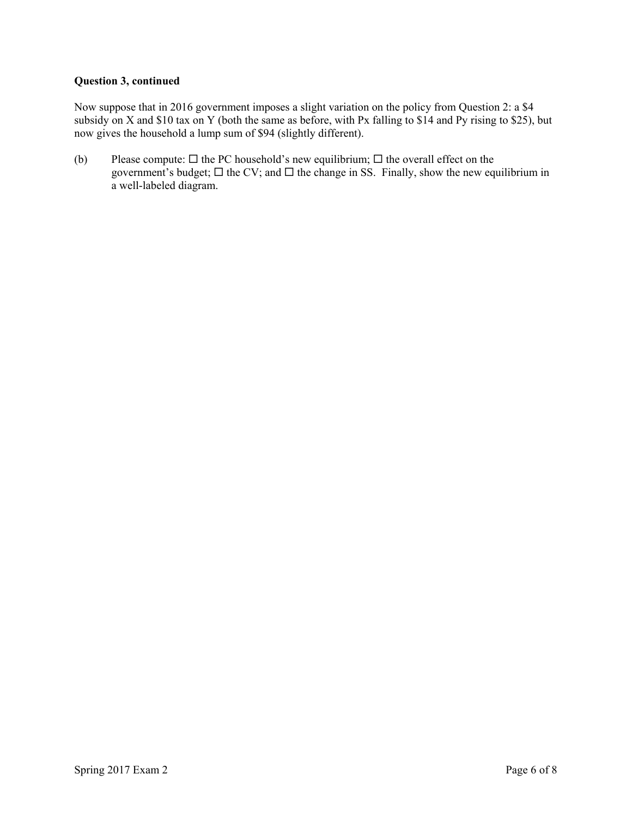## **Question 3, continued**

Now suppose that in 2016 government imposes a slight variation on the policy from Question 2: a \$4 subsidy on X and \$10 tax on Y (both the same as before, with Px falling to \$14 and Py rising to \$25), but now gives the household a lump sum of \$94 (slightly different).

(b) Please compute:  $\Box$  the PC household's new equilibrium;  $\Box$  the overall effect on the government's budget;  $\Box$  the CV; and  $\Box$  the change in SS. Finally, show the new equilibrium in a well-labeled diagram.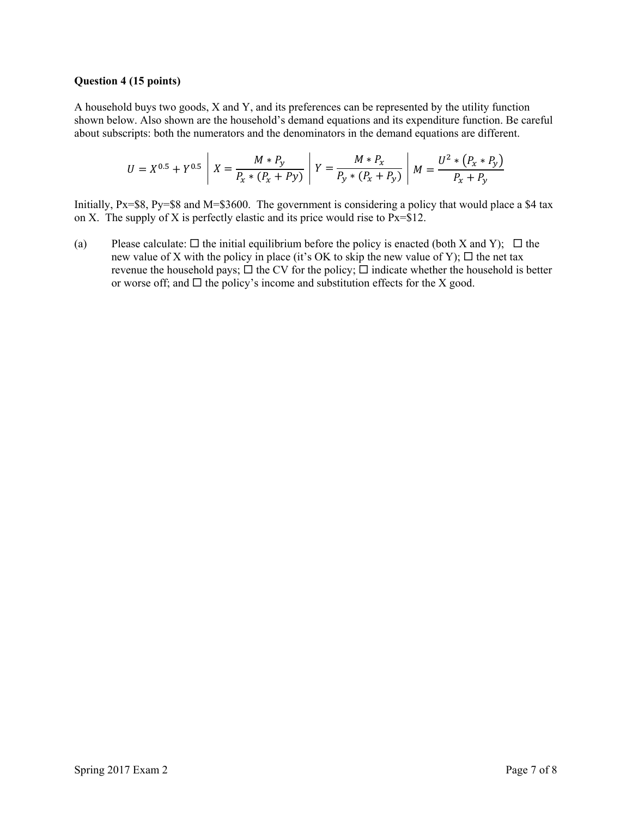#### **Question 4 (15 points)**

A household buys two goods, X and Y, and its preferences can be represented by the utility function shown below. Also shown are the household's demand equations and its expenditure function. Be careful about subscripts: both the numerators and the denominators in the demand equations are different.

$$
U = X^{0.5} + Y^{0.5} \left[ X = \frac{M * P_y}{P_x * (P_x + P_y)} \right] Y = \frac{M * P_x}{P_y * (P_x + P_y)} \left[ M = \frac{U^2 * (P_x * P_y)}{P_x + P_y} \right]
$$

Initially, Px=\$8, Py=\$8 and M=\$3600. The government is considering a policy that would place a \$4 tax on X. The supply of X is perfectly elastic and its price would rise to  $Px = $12$ .

(a) Please calculate:  $\Box$  the initial equilibrium before the policy is enacted (both X and Y);  $\Box$  the new value of X with the policy in place (it's OK to skip the new value of Y);  $\Box$  the net tax revenue the household pays;  $\Box$  the CV for the policy;  $\Box$  indicate whether the household is better or worse off; and  $\Box$  the policy's income and substitution effects for the X good.